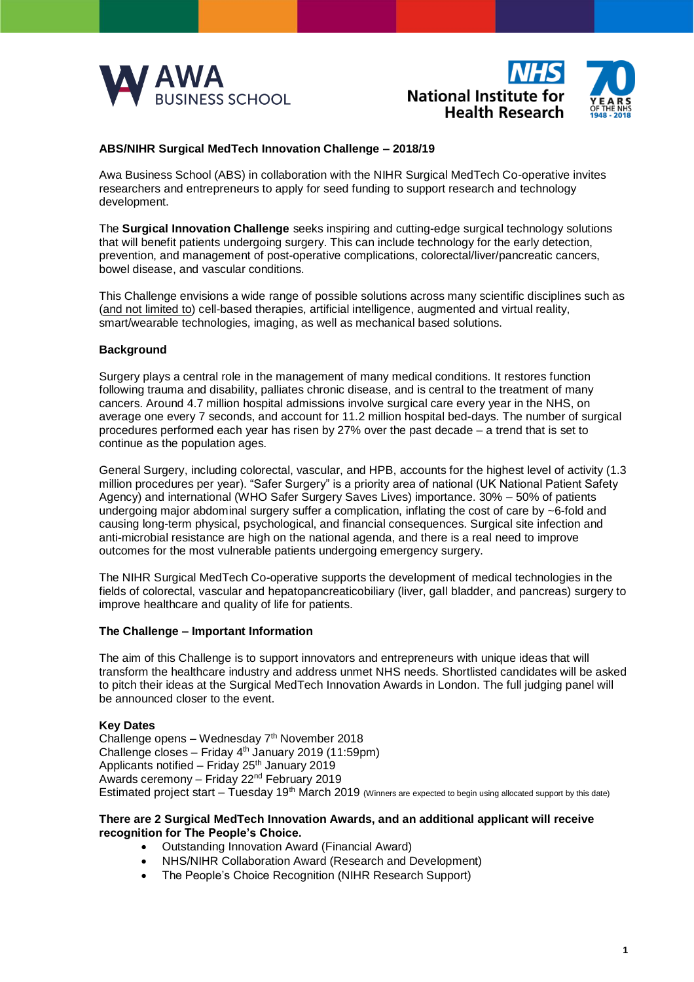



## **ABS/NIHR Surgical MedTech Innovation Challenge – 2018/19**

Awa Business School (ABS) in collaboration with the NIHR Surgical MedTech Co-operative invites researchers and entrepreneurs to apply for seed funding to support research and technology development.

The **Surgical Innovation Challenge** seeks inspiring and cutting-edge surgical technology solutions that will benefit patients undergoing surgery. This can include technology for the early detection, prevention, and management of post-operative complications, colorectal/liver/pancreatic cancers, bowel disease, and vascular conditions.

This Challenge envisions a wide range of possible solutions across many scientific disciplines such as (and not limited to) cell-based therapies, artificial intelligence, augmented and virtual reality, smart/wearable technologies, imaging, as well as mechanical based solutions.

## **Background**

Surgery plays a central role in the management of many medical conditions. It restores function following trauma and disability, palliates chronic disease, and is central to the treatment of many cancers. Around 4.7 million hospital admissions involve surgical care every year in the NHS, on average one every 7 seconds, and account for 11.2 million hospital bed-days. The number of surgical procedures performed each year has risen by 27% over the past decade – a trend that is set to continue as the population ages.

General Surgery, including colorectal, vascular, and HPB, accounts for the highest level of activity (1.3 million procedures per year). "Safer Surgery" is a priority area of national (UK National Patient Safety Agency) and international (WHO Safer Surgery Saves Lives) importance. 30% – 50% of patients undergoing major abdominal surgery suffer a complication, inflating the cost of care by ~6-fold and causing long-term physical, psychological, and financial consequences. Surgical site infection and anti-microbial resistance are high on the national agenda, and there is a real need to improve outcomes for the most vulnerable patients undergoing emergency surgery.

The NIHR Surgical MedTech Co-operative supports the development of medical technologies in the fields of colorectal, vascular and hepatopancreaticobiliary (liver, gall bladder, and pancreas) surgery to improve healthcare and quality of life for patients.

## **The Challenge – Important Information**

The aim of this Challenge is to support innovators and entrepreneurs with unique ideas that will transform the healthcare industry and address unmet NHS needs. Shortlisted candidates will be asked to pitch their ideas at the Surgical MedTech Innovation Awards in London. The full judging panel will be announced closer to the event.

## **Key Dates**

Challenge opens – Wednesday  $7<sup>th</sup>$  November 2018 Challenge closes – Friday  $4<sup>th</sup>$  January 2019 (11:59pm) Applicants notified – Friday 25<sup>th</sup> January 2019 Awards ceremony - Friday 22<sup>nd</sup> February 2019 Estimated project start  $-$  Tuesday 19<sup>th</sup> March 2019 (Winners are expected to begin using allocated support by this date)

## **There are 2 Surgical MedTech Innovation Awards, and an additional applicant will receive recognition for The People's Choice.**

- Outstanding Innovation Award (Financial Award)
- NHS/NIHR Collaboration Award (Research and Development)
- The People's Choice Recognition (NIHR Research Support)